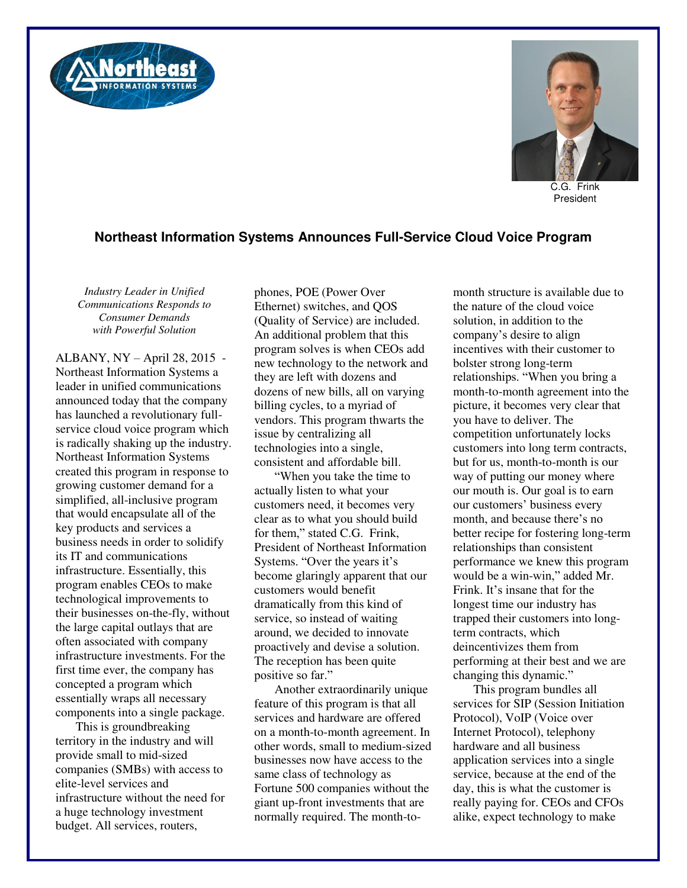



C.G. Frink President

## **Northeast Information Systems Announces Full-Service Cloud Voice Program**

*Industry Leader in Unified Communications Responds to Consumer Demands with Powerful Solution* 

ALBANY, NY – April 28, 2015 - Northeast Information Systems a leader in unified communications announced today that the company has launched a revolutionary fullservice cloud voice program which is radically shaking up the industry. Northeast Information Systems created this program in response to growing customer demand for a simplified, all-inclusive program that would encapsulate all of the key products and services a business needs in order to solidify its IT and communications infrastructure. Essentially, this program enables CEOs to make technological improvements to their businesses on-the-fly, without the large capital outlays that are often associated with company infrastructure investments. For the first time ever, the company has concepted a program which essentially wraps all necessary components into a single package.

This is groundbreaking territory in the industry and will provide small to mid-sized companies (SMBs) with access to elite-level services and infrastructure without the need for a huge technology investment budget. All services, routers,

phones, POE (Power Over Ethernet) switches, and QOS (Quality of Service) are included. An additional problem that this program solves is when CEOs add new technology to the network and they are left with dozens and dozens of new bills, all on varying billing cycles, to a myriad of vendors. This program thwarts the issue by centralizing all technologies into a single, consistent and affordable bill.

"When you take the time to actually listen to what your customers need, it becomes very clear as to what you should build for them," stated C.G. Frink, President of Northeast Information Systems. "Over the years it's become glaringly apparent that our customers would benefit dramatically from this kind of service, so instead of waiting around, we decided to innovate proactively and devise a solution. The reception has been quite positive so far."

Another extraordinarily unique feature of this program is that all services and hardware are offered on a month-to-month agreement. In other words, small to medium-sized businesses now have access to the same class of technology as Fortune 500 companies without the giant up-front investments that are normally required. The month-tomonth structure is available due to the nature of the cloud voice solution, in addition to the company's desire to align incentives with their customer to bolster strong long-term relationships. "When you bring a month-to-month agreement into the picture, it becomes very clear that you have to deliver. The competition unfortunately locks customers into long term contracts, but for us, month-to-month is our way of putting our money where our mouth is. Our goal is to earn our customers' business every month, and because there's no better recipe for fostering long-term relationships than consistent performance we knew this program would be a win-win," added Mr. Frink. It's insane that for the longest time our industry has trapped their customers into longterm contracts, which deincentivizes them from performing at their best and we are changing this dynamic."

This program bundles all services for SIP (Session Initiation Protocol), VoIP (Voice over Internet Protocol), telephony hardware and all business application services into a single service, because at the end of the day, this is what the customer is really paying for. CEOs and CFOs alike, expect technology to make